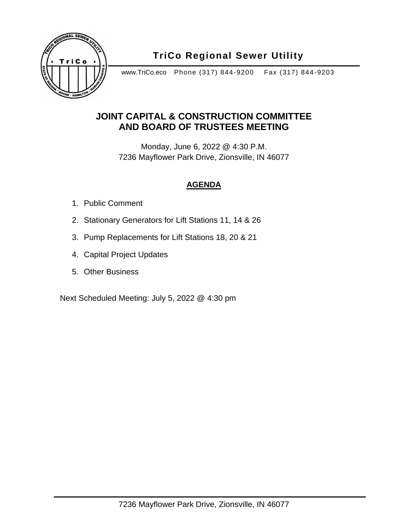

## **TriCo Regional Sewer Utility**

www.TriCo.eco Phone (317) 844-9200 Fax (317) 844-9203

#### **JOINT CAPITAL & CONSTRUCTION COMMITTEE AND BOARD OF TRUSTEES MEETING**

Monday, June 6, 2022 @ 4:30 P.M. 7236 Mayflower Park Drive, Zionsville, IN 46077

#### **AGENDA**

- 1. Public Comment
- 2. Stationary Generators for Lift Stations 11, 14 & 26
- 3. Pump Replacements for Lift Stations 18, 20 & 21
- 4. Capital Project Updates
- 5. Other Business

Next Scheduled Meeting: July 5, 2022 @ 4:30 pm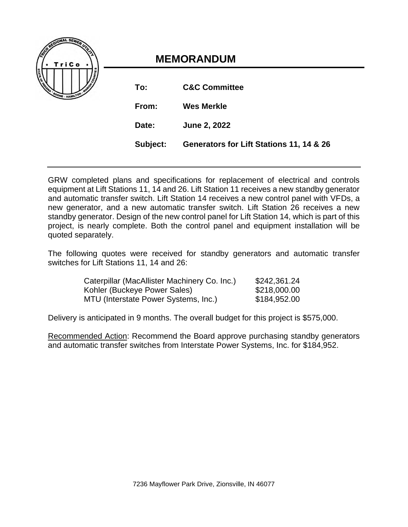| O REGIONAL SEWER UTEN             |  |
|-----------------------------------|--|
| TriCo                             |  |
| <b>SALAR BOOME - HAMILTOW WAS</b> |  |
|                                   |  |

## **MEMORANDUM**

| To:   | <b>C&amp;C Committee</b>                          |
|-------|---------------------------------------------------|
| From: | <b>Wes Merkle</b>                                 |
| Date: | June 2, 2022                                      |
|       | Subject: Generators for Lift Stations 11, 14 & 26 |

GRW completed plans and specifications for replacement of electrical and controls equipment at Lift Stations 11, 14 and 26. Lift Station 11 receives a new standby generator and automatic transfer switch. Lift Station 14 receives a new control panel with VFDs, a new generator, and a new automatic transfer switch. Lift Station 26 receives a new standby generator. Design of the new control panel for Lift Station 14, which is part of this project, is nearly complete. Both the control panel and equipment installation will be quoted separately.

The following quotes were received for standby generators and automatic transfer switches for Lift Stations 11, 14 and 26:

| Caterpillar (MacAllister Machinery Co. Inc.) | \$242,361.24 |
|----------------------------------------------|--------------|
| Kohler (Buckeye Power Sales)                 | \$218,000.00 |
| MTU (Interstate Power Systems, Inc.)         | \$184,952.00 |

Delivery is anticipated in 9 months. The overall budget for this project is \$575,000.

Recommended Action: Recommend the Board approve purchasing standby generators and automatic transfer switches from Interstate Power Systems, Inc. for \$184,952.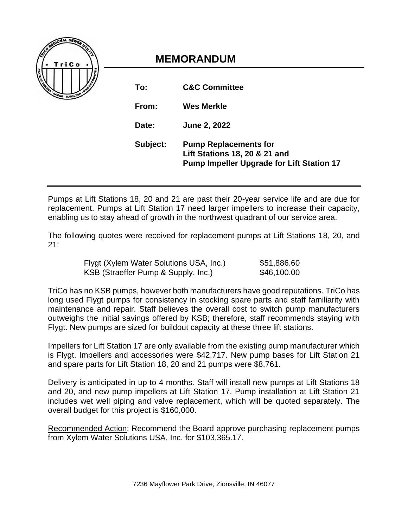

# **MEMORANDUM**

| To:      | <b>C&amp;C Committee</b>                                                                                                     |
|----------|------------------------------------------------------------------------------------------------------------------------------|
| From:    | <b>Wes Merkle</b>                                                                                                            |
| Date:    | <b>June 2, 2022</b>                                                                                                          |
| Subject: | <b>Pump Replacements for</b><br><b>Lift Stations 18, 20 &amp; 21 and</b><br><b>Pump Impeller Upgrade for Lift Station 17</b> |

Pumps at Lift Stations 18, 20 and 21 are past their 20-year service life and are due for replacement. Pumps at Lift Station 17 need larger impellers to increase their capacity, enabling us to stay ahead of growth in the northwest quadrant of our service area.

The following quotes were received for replacement pumps at Lift Stations 18, 20, and 21:

| Flygt (Xylem Water Solutions USA, Inc.) | \$51,886.60 |
|-----------------------------------------|-------------|
| KSB (Straeffer Pump & Supply, Inc.)     | \$46,100.00 |

TriCo has no KSB pumps, however both manufacturers have good reputations. TriCo has long used Flygt pumps for consistency in stocking spare parts and staff familiarity with maintenance and repair. Staff believes the overall cost to switch pump manufacturers outweighs the initial savings offered by KSB; therefore, staff recommends staying with Flygt. New pumps are sized for buildout capacity at these three lift stations.

Impellers for Lift Station 17 are only available from the existing pump manufacturer which is Flygt. Impellers and accessories were \$42,717. New pump bases for Lift Station 21 and spare parts for Lift Station 18, 20 and 21 pumps were \$8,761.

Delivery is anticipated in up to 4 months. Staff will install new pumps at Lift Stations 18 and 20, and new pump impellers at Lift Station 17. Pump installation at Lift Station 21 includes wet well piping and valve replacement, which will be quoted separately. The overall budget for this project is \$160,000.

Recommended Action: Recommend the Board approve purchasing replacement pumps from Xylem Water Solutions USA, Inc. for \$103,365.17.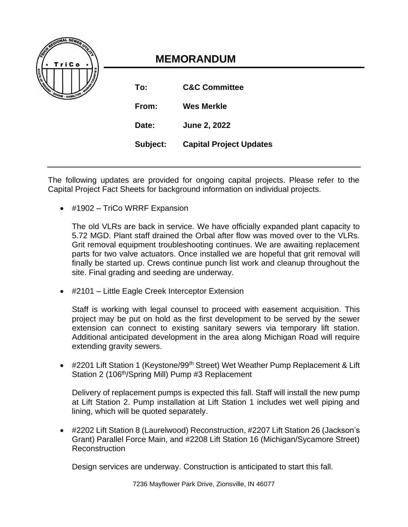

# **MEMORANDUM**

| To:      | <b>C&amp;C Committee</b>       |
|----------|--------------------------------|
| From:    | <b>Wes Merkle</b>              |
| Date:    | June 2, 2022                   |
| Subject: | <b>Capital Project Updates</b> |

The following updates are provided for ongoing capital projects. Please refer to the Capital Project Fact Sheets for background information on individual projects.

• #1902 – TriCo WRRF Expansion

The old VLRs are back in service. We have officially expanded plant capacity to 5.72 MGD. Plant staff drained the Orbal after flow was moved over to the VLRs. Grit removal equipment troubleshooting continues. We are awaiting replacement parts for two valve actuators. Once installed we are hopeful that grit removal will finally be started up. Crews continue punch list work and cleanup throughout the site. Final grading and seeding are underway.

• #2101 – Little Eagle Creek Interceptor Extension

Staff is working with legal counsel to proceed with easement acquisition. This project may be put on hold as the first development to be served by the sewer extension can connect to existing sanitary sewers via temporary lift station. Additional anticipated development in the area along Michigan Road will require extending gravity sewers.

• #2201 Lift Station 1 (Keystone/99<sup>th</sup> Street) Wet Weather Pump Replacement & Lift Station 2 (106<sup>th</sup>/Spring Mill) Pump #3 Replacement

Delivery of replacement pumps is expected this fall. Staff will install the new pump at Lift Station 2. Pump installation at Lift Station 1 includes wet well piping and lining, which will be quoted separately.

• #2202 Lift Station 8 (Laurelwood) Reconstruction, #2207 Lift Station 26 (Jackson's Grant) Parallel Force Main, and #2208 Lift Station 16 (Michigan/Sycamore Street) Reconstruction

Design services are underway. Construction is anticipated to start this fall.